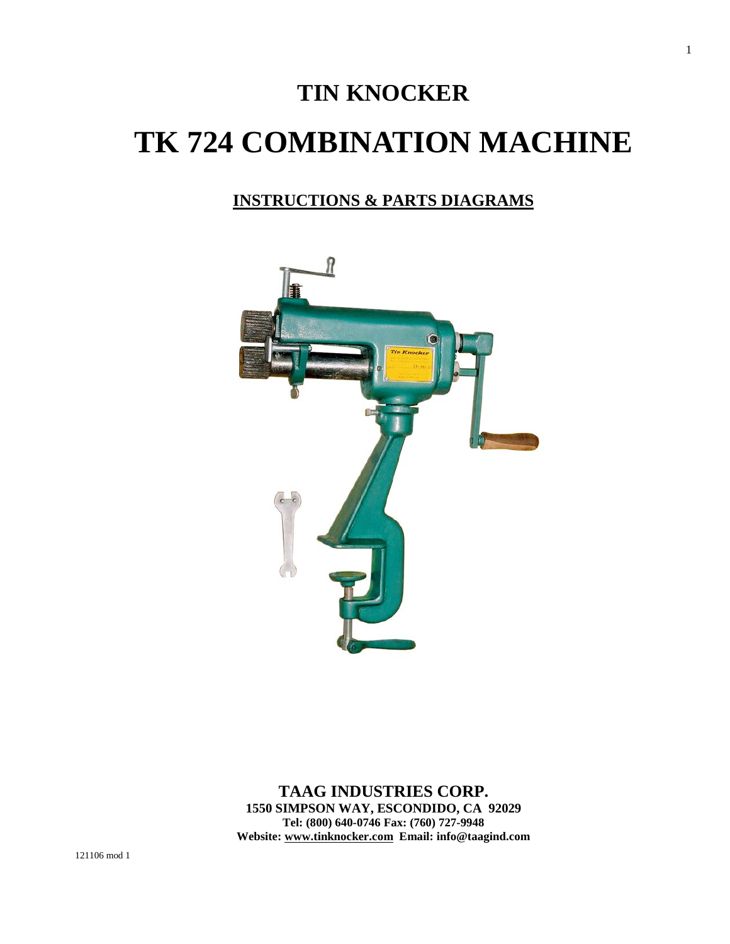# **TIN KNOCKER TK 724 COMBINATION MACHINE**

## **INSTRUCTIONS & PARTS DIAGRAMS**



**TAAG INDUSTRIES CORP. 1550 SIMPSON WAY, ESCONDIDO, CA 92029 Tel: (800) 640-0746 Fax: (760) 727-9948 Website: [www.tinknocker.com](http://www.tinknocker.com/) Email: info@taagind.com** 1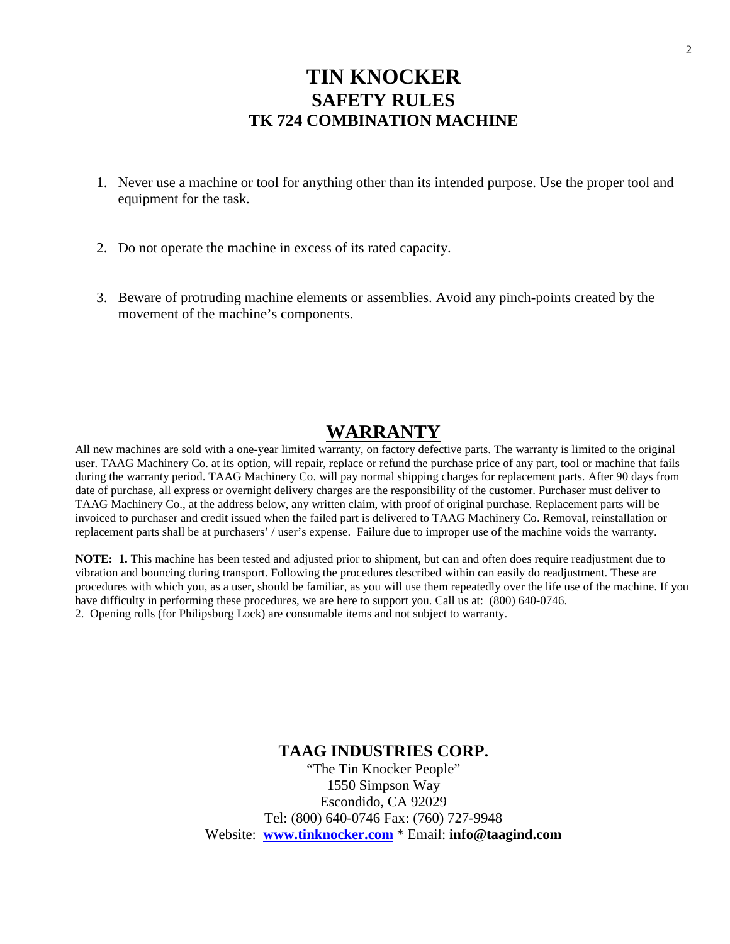## **TIN KNOCKER SAFETY RULES TK 724 COMBINATION MACHINE**

- 1. Never use a machine or tool for anything other than its intended purpose. Use the proper tool and equipment for the task.
- 2. Do not operate the machine in excess of its rated capacity.
- 3. Beware of protruding machine elements or assemblies. Avoid any pinch-points created by the movement of the machine's components.

## **WARRANTY**

All new machines are sold with a one-year limited warranty, on factory defective parts. The warranty is limited to the original user. TAAG Machinery Co. at its option, will repair, replace or refund the purchase price of any part, tool or machine that fails during the warranty period. TAAG Machinery Co. will pay normal shipping charges for replacement parts. After 90 days from date of purchase, all express or overnight delivery charges are the responsibility of the customer. Purchaser must deliver to TAAG Machinery Co., at the address below, any written claim, with proof of original purchase. Replacement parts will be invoiced to purchaser and credit issued when the failed part is delivered to TAAG Machinery Co. Removal, reinstallation or replacement parts shall be at purchasers' / user's expense. Failure due to improper use of the machine voids the warranty.

**NOTE: 1.** This machine has been tested and adjusted prior to shipment, but can and often does require readjustment due to vibration and bouncing during transport. Following the procedures described within can easily do readjustment. These are procedures with which you, as a user, should be familiar, as you will use them repeatedly over the life use of the machine. If you have difficulty in performing these procedures, we are here to support you. Call us at: (800) 640-0746. 2. Opening rolls (for Philipsburg Lock) are consumable items and not subject to warranty.

### **TAAG INDUSTRIES CORP.**

"The Tin Knocker People" 1550 Simpson Way Escondido, CA 92029 Tel: (800) 640-0746 Fax: (760) 727-9948 Website: **[www.tinknocker.com](mailto:TAAG9947@AOL.COM)** \* Email: **info@taagind.com**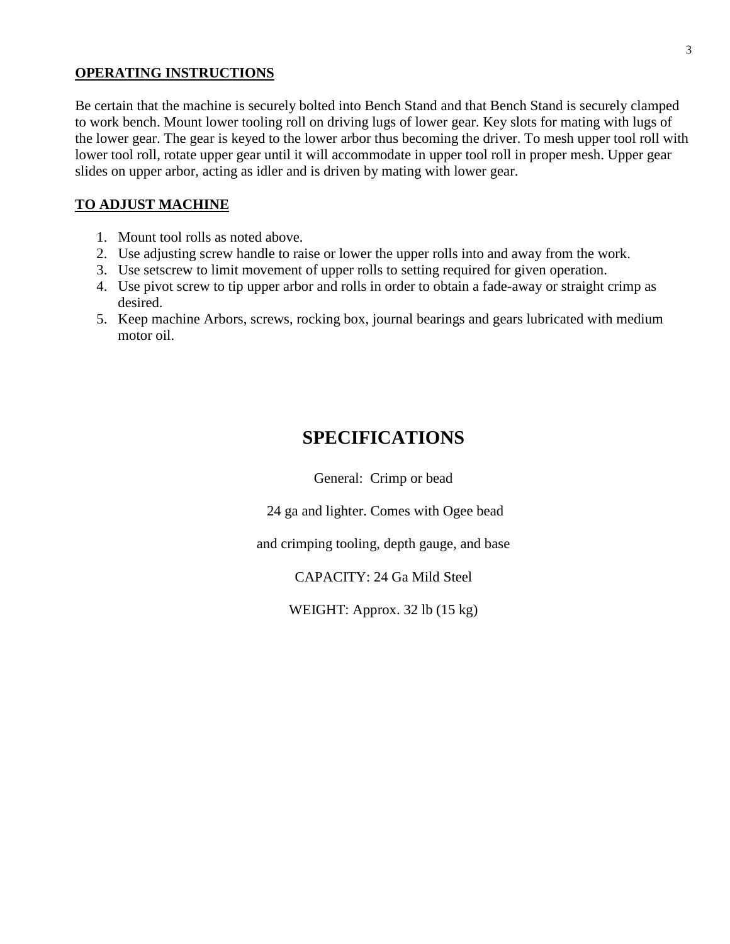#### **OPERATING INSTRUCTIONS**

Be certain that the machine is securely bolted into Bench Stand and that Bench Stand is securely clamped to work bench. Mount lower tooling roll on driving lugs of lower gear. Key slots for mating with lugs of the lower gear. The gear is keyed to the lower arbor thus becoming the driver. To mesh upper tool roll with lower tool roll, rotate upper gear until it will accommodate in upper tool roll in proper mesh. Upper gear slides on upper arbor, acting as idler and is driven by mating with lower gear.

### **TO ADJUST MACHINE**

- 1. Mount tool rolls as noted above.
- 2. Use adjusting screw handle to raise or lower the upper rolls into and away from the work.
- 3. Use setscrew to limit movement of upper rolls to setting required for given operation.
- 4. Use pivot screw to tip upper arbor and rolls in order to obtain a fade-away or straight crimp as desired.
- 5. Keep machine Arbors, screws, rocking box, journal bearings and gears lubricated with medium motor oil.

## **SPECIFICATIONS**

General: Crimp or bead

24 ga and lighter. Comes with Ogee bead

and crimping tooling, depth gauge, and base

CAPACITY: 24 Ga Mild Steel

WEIGHT: Approx. 32 lb (15 kg)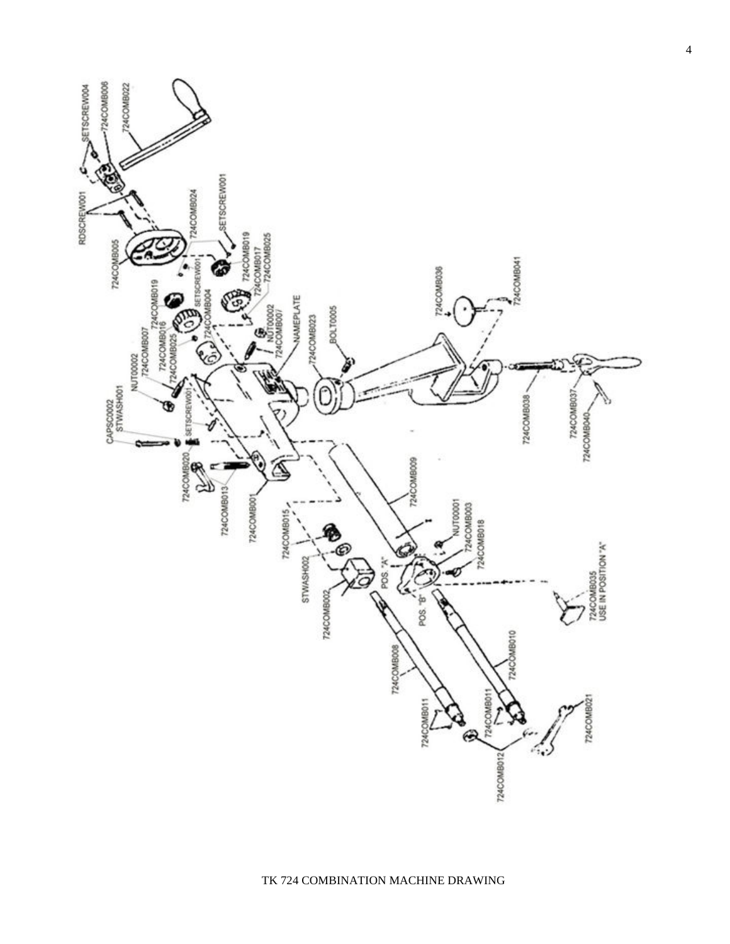